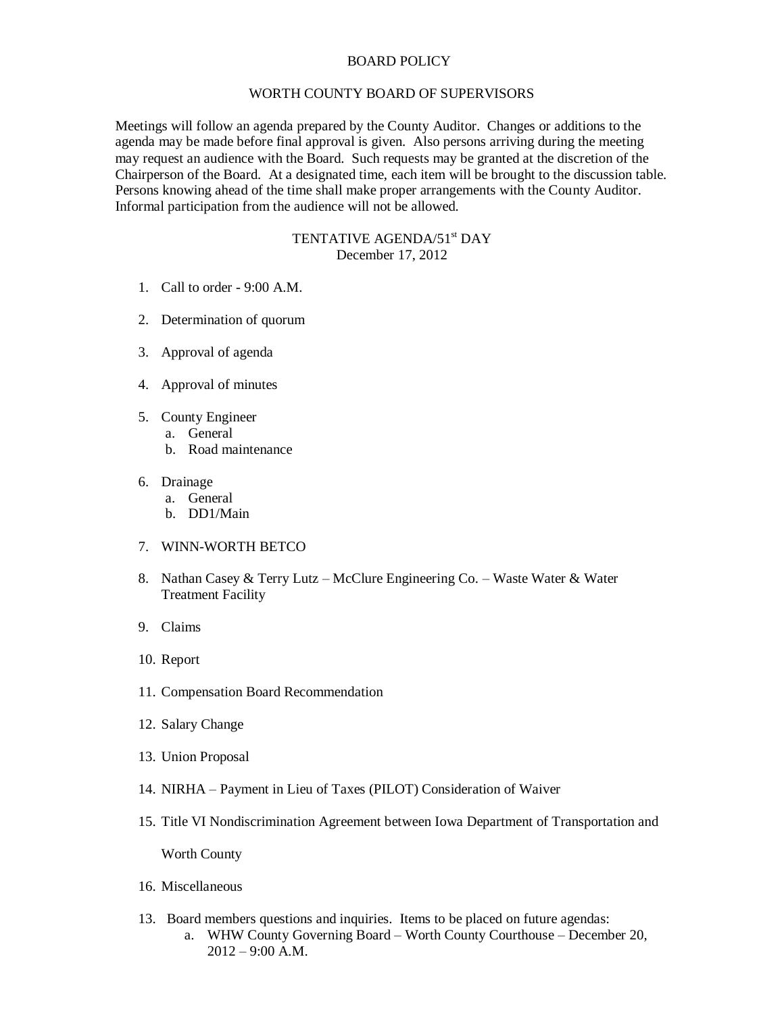## BOARD POLICY

## WORTH COUNTY BOARD OF SUPERVISORS

Meetings will follow an agenda prepared by the County Auditor. Changes or additions to the agenda may be made before final approval is given. Also persons arriving during the meeting may request an audience with the Board. Such requests may be granted at the discretion of the Chairperson of the Board. At a designated time, each item will be brought to the discussion table. Persons knowing ahead of the time shall make proper arrangements with the County Auditor. Informal participation from the audience will not be allowed.

## TENTATIVE AGENDA/51<sup>st</sup> DAY December 17, 2012

- 1. Call to order 9:00 A.M.
- 2. Determination of quorum
- 3. Approval of agenda
- 4. Approval of minutes
- 5. County Engineer
	- a. General
	- b. Road maintenance
- 6. Drainage
	- a. General
	- b. DD1/Main
- 7. WINN-WORTH BETCO
- 8. Nathan Casey & Terry Lutz McClure Engineering Co. Waste Water & Water Treatment Facility
- 9. Claims
- 10. Report
- 11. Compensation Board Recommendation
- 12. Salary Change
- 13. Union Proposal
- 14. NIRHA Payment in Lieu of Taxes (PILOT) Consideration of Waiver
- 15. Title VI Nondiscrimination Agreement between Iowa Department of Transportation and

Worth County

- 16. Miscellaneous
- 13. Board members questions and inquiries. Items to be placed on future agendas:
	- a. WHW County Governing Board Worth County Courthouse December 20, 2012 – 9:00 A.M.